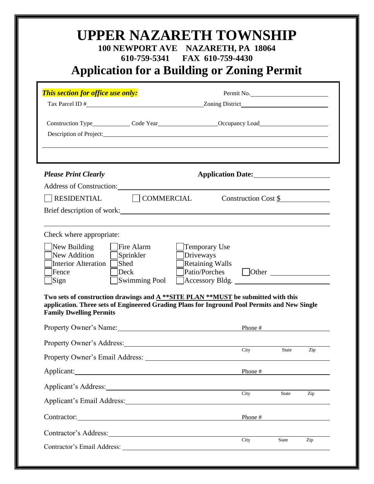| Description of Project:                                                                                                                                                                                                                                                                                                                                                              |                                                                                  |                      |           |                                   |
|--------------------------------------------------------------------------------------------------------------------------------------------------------------------------------------------------------------------------------------------------------------------------------------------------------------------------------------------------------------------------------------|----------------------------------------------------------------------------------|----------------------|-----------|-----------------------------------|
| <b>Please Print Clearly</b>                                                                                                                                                                                                                                                                                                                                                          | Application Date:                                                                |                      |           |                                   |
| Address of Construction: National Address of Construction:<br>RESIDENTIAL   COMMERCIAL                                                                                                                                                                                                                                                                                               |                                                                                  | Construction Cost \$ |           |                                   |
| Brief description of work:                                                                                                                                                                                                                                                                                                                                                           |                                                                                  |                      |           |                                   |
| Check where appropriate:<br>Fire Alarm<br>New Building<br>New Addition<br>Sprinkler<br>Interior Alteration   Shed<br>Deck<br>Fence<br>Swimming Pool<br>Sign<br>Two sets of construction drawings and $A$ **SITE PLAN **MUST be submitted with this<br>application. Three sets of Engineered Grading Plans for Inground Pool Permits and New Single<br><b>Family Dwelling Permits</b> | Temporary Use<br>Driveways<br><b>Retaining Walls</b><br>Patio/Porches Other 2016 |                      |           |                                   |
| Property Owner's Name:<br><u>Property Owner's Name:</u>                                                                                                                                                                                                                                                                                                                              |                                                                                  | Phone $\#$           |           |                                   |
| Property Owner's Address: 2008. [1] Property Owner's Address:                                                                                                                                                                                                                                                                                                                        |                                                                                  |                      |           |                                   |
|                                                                                                                                                                                                                                                                                                                                                                                      |                                                                                  | City                 | State Zip |                                   |
|                                                                                                                                                                                                                                                                                                                                                                                      |                                                                                  | Phone $\#$           |           |                                   |
|                                                                                                                                                                                                                                                                                                                                                                                      |                                                                                  | City                 | State     | $\mathop{\mathrm {Zip}}\nolimits$ |
|                                                                                                                                                                                                                                                                                                                                                                                      |                                                                                  |                      |           |                                   |
|                                                                                                                                                                                                                                                                                                                                                                                      |                                                                                  | Phone $\#$           |           |                                   |